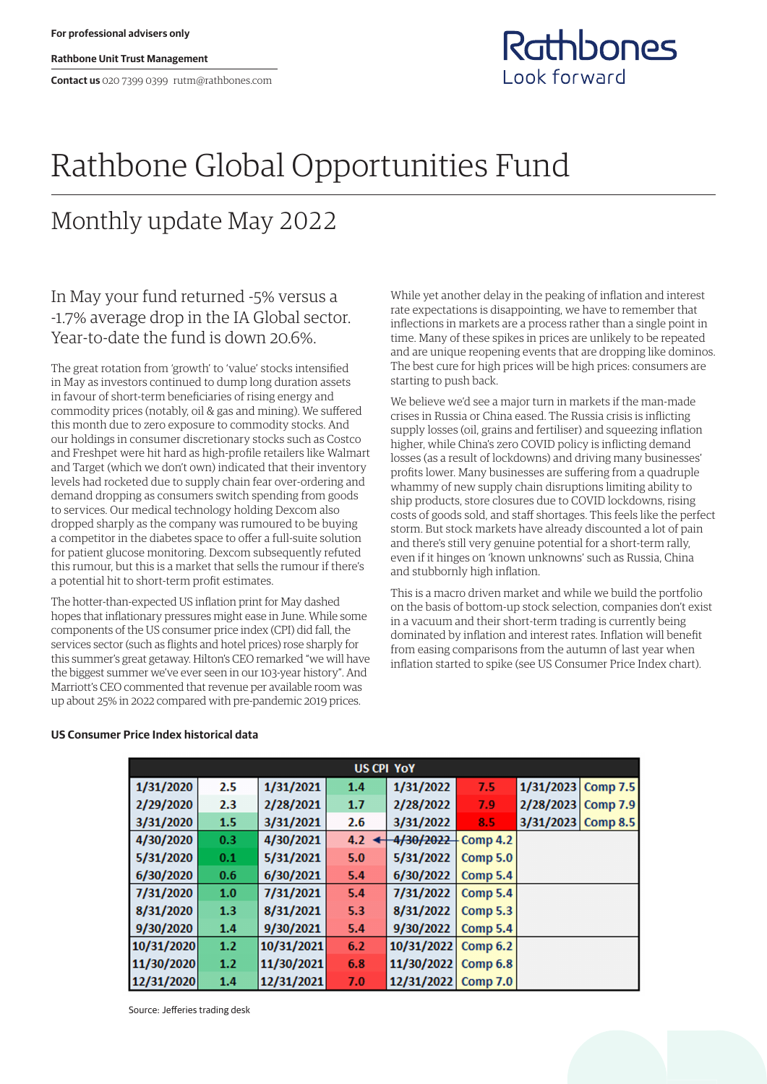**Rathbone Unit Trust Management**

**Contact us** 020 7399 0399 rutm@rathbones.com

## Rathbones Look forward

# Rathbone Global Opportunities Fund

# Monthly update May 2022

### In May your fund returned -5% versus a -1.7% average drop in the IA Global sector. Year-to-date the fund is down 20.6%.

The great rotation from 'growth' to 'value' stocks intensified in May as investors continued to dump long duration assets in favour of short-term beneficiaries of rising energy and commodity prices (notably, oil & gas and mining). We suffered this month due to zero exposure to commodity stocks. And our holdings in consumer discretionary stocks such as Costco and Freshpet were hit hard as high-profile retailers like Walmart and Target (which we don't own) indicated that their inventory levels had rocketed due to supply chain fear over-ordering and demand dropping as consumers switch spending from goods to services. Our medical technology holding Dexcom also dropped sharply as the company was rumoured to be buying a competitor in the diabetes space to offer a full-suite solution for patient glucose monitoring. Dexcom subsequently refuted this rumour, but this is a market that sells the rumour if there's a potential hit to short-term profit estimates.

The hotter-than-expected US inflation print for May dashed hopes that inflationary pressures might ease in June. While some components of the US consumer price index (CPI) did fall, the services sector (such as flights and hotel prices) rose sharply for this summer's great getaway. Hilton's CEO remarked "we will have the biggest summer we've ever seen in our 103-year history". And Marriott's CEO commented that revenue per available room was up about 25% in 2022 compared with pre-pandemic 2019 prices.

While yet another delay in the peaking of inflation and interest rate expectations is disappointing, we have to remember that inflections in markets are a process rather than a single point in time. Many of these spikes in prices are unlikely to be repeated and are unique reopening events that are dropping like dominos. The best cure for high prices will be high prices: consumers are starting to push back.

We believe we'd see a major turn in markets if the man-made crises in Russia or China eased. The Russia crisis is inflicting supply losses (oil, grains and fertiliser) and squeezing inflation higher, while China's zero COVID policy is inflicting demand losses (as a result of lockdowns) and driving many businesses' profits lower. Many businesses are suffering from a quadruple whammy of new supply chain disruptions limiting ability to ship products, store closures due to COVID lockdowns, rising costs of goods sold, and staff shortages. This feels like the perfect storm. But stock markets have already discounted a lot of pain and there's still very genuine potential for a short-term rally, even if it hinges on 'known unknowns' such as Russia, China and stubbornly high inflation.

This is a macro driven market and while we build the portfolio on the basis of bottom-up stock selection, companies don't exist in a vacuum and their short-term trading is currently being dominated by inflation and interest rates. Inflation will benefit from easing comparisons from the autumn of last year when inflation started to spike (see US Consumer Price Index chart).

### **US CPI YOY** 1/31/2020 2.5 1/31/2021  $1.4$ 1/31/2022  $7.5$ 1/31/2023 Comp 7.5  $7.9$ 2/29/2020  $2.3$ 2/28/2021  $1.7$ 2/28/2022 2/28/2023 **Comp 7.9** 3/31/2020  $1.5$ 3/31/2021  $2.6$ 3/31/2022 8.5 3/31/2023 Comp 8.5 4/30/2020  $0.3$ 4/30/2021  $4.2 \triangleleft$ 4/30/2022 Comp 4.2 5/31/2020  $0.1$ 5/31/2021  $5.0$ 5/31/2022 **Comp 5.0** 6/30/2020  $0.6$ 6/30/2021  $5.4$ 6/30/2022 Comp 5.4 7/31/2020  $1.0$ 7/31/2021  $5.4$ 7/31/2022 **Comp 5.4** 8/31/2020  $1.3$ 8/31/2021  $5.3$ 8/31/2022 **Comp 5.3** 9/30/2020  $1.4$ 9/30/2021  $5.4$ 9/30/2022 Comp 5.4  $1.2$ 10/31/2020 10/31/2021  $6.2$ 10/31/2022 **Comp 6.2**  $1.2$ 11/30/2020 11/30/2021  $6.8$ 11/30/2022 **Comp 6.8** 12/31/2020  $1.4$ 12/31/2021  $7.0$ 12/31/2022 **Comp 7.0**

### **US Consumer Price Index historical data**

Source: Jefferies trading desk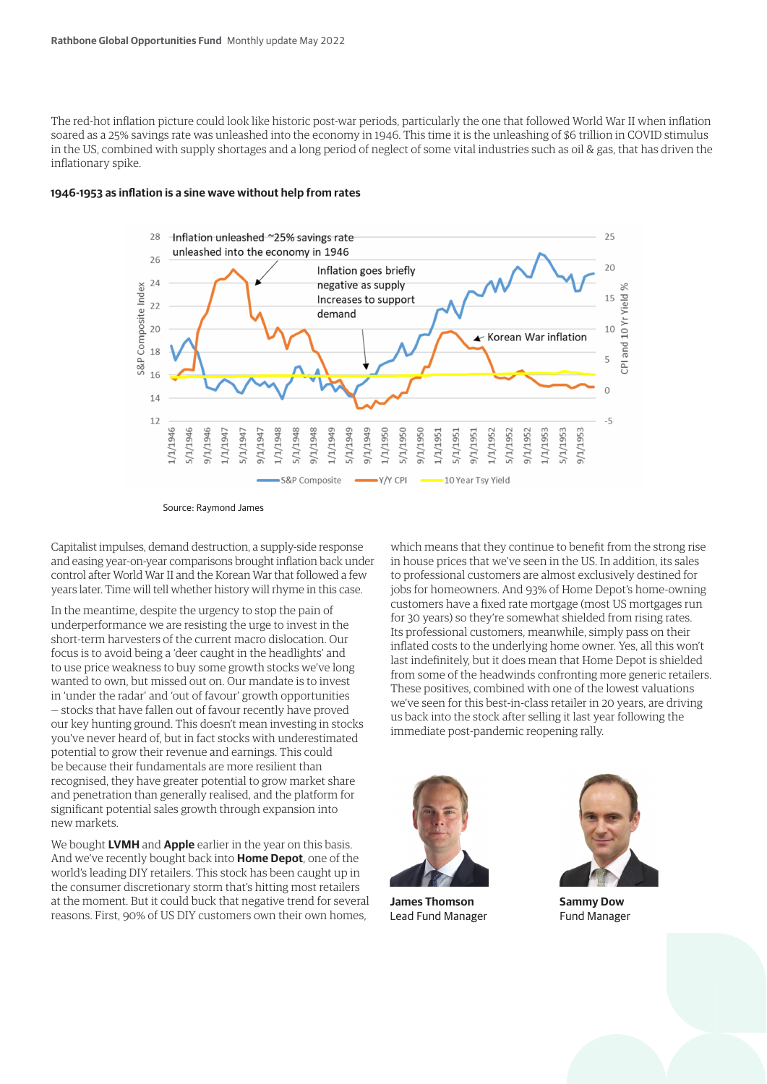The red-hot inflation picture could look like historic post-war periods, particularly the one that followed World War II when inflation soared as a 25% savings rate was unleashed into the economy in 1946. This time it is the unleashing of \$6 trillion in COVID stimulus in the US, combined with supply shortages and a long period of neglect of some vital industries such as oil & gas, that has driven the inflationary spike.

### **1946-1953 as inflation is a sine wave without help from rates**



Source: Raymond James

Capitalist impulses, demand destruction, a supply-side response and easing year-on-year comparisons brought inflation back under control after World War II and the Korean War that followed a few years later. Time will tell whether history will rhyme in this case.

In the meantime, despite the urgency to stop the pain of underperformance we are resisting the urge to invest in the short-term harvesters of the current macro dislocation. Our focus is to avoid being a 'deer caught in the headlights' and to use price weakness to buy some growth stocks we've long wanted to own, but missed out on. Our mandate is to invest in 'under the radar' and 'out of favour' growth opportunities — stocks that have fallen out of favour recently have proved our key hunting ground. This doesn't mean investing in stocks you've never heard of, but in fact stocks with underestimated potential to grow their revenue and earnings. This could be because their fundamentals are more resilient than recognised, they have greater potential to grow market share and penetration than generally realised, and the platform for significant potential sales growth through expansion into new markets.

We bought **LVMH** and **Apple** earlier in the year on this basis. And we've recently bought back into **Home Depot**, one of the world's leading DIY retailers. This stock has been caught up in the consumer discretionary storm that's hitting most retailers at the moment. But it could buck that negative trend for several reasons. First, 90% of US DIY customers own their own homes,

which means that they continue to benefit from the strong rise in house prices that we've seen in the US. In addition, its sales to professional customers are almost exclusively destined for jobs for homeowners. And 93% of Home Depot's home-owning customers have a fixed rate mortgage (most US mortgages run for 30 years) so they're somewhat shielded from rising rates. Its professional customers, meanwhile, simply pass on their inflated costs to the underlying home owner. Yes, all this won't last indefinitely, but it does mean that Home Depot is shielded from some of the headwinds confronting more generic retailers. These positives, combined with one of the lowest valuations we've seen for this best-in-class retailer in 20 years, are driving us back into the stock after selling it last year following the immediate post-pandemic reopening rally.



**James Thomson** Lead Fund Manager



**Sammy Dow** Fund Manager